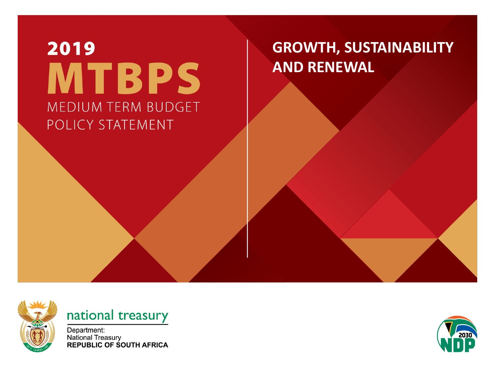### 2019 **MTBPS** MEDIUM TERM BUDGET POLICY STATEMENT

#### **GROWTH, SUSTAINABILITY AND RENEWAL**



#### national treasury

Department: National Treasury<br>REPUBLIC OF SOUTH AFRICA

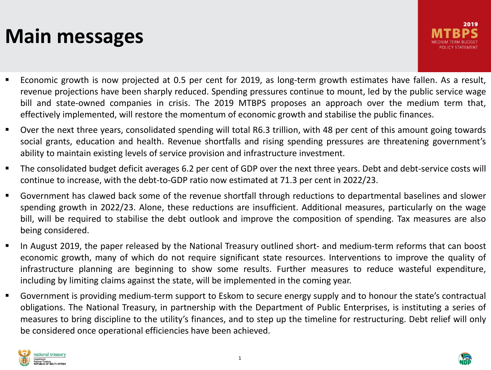#### **Main messages**

- Economic growth is now projected at 0.5 per cent for 2019, as long-term growth estimates have fallen. As a result, revenue projections have been sharply reduced. Spending pressures continue to mount, led by the public service wage bill and state-owned companies in crisis. The 2019 MTBPS proposes an approach over the medium term that, effectively implemented, will restore the momentum of economic growth and stabilise the public finances.
- Over the next three years, consolidated spending will total R6.3 trillion, with 48 per cent of this amount going towards social grants, education and health. Revenue shortfalls and rising spending pressures are threatening government's ability to maintain existing levels of service provision and infrastructure investment.
- The consolidated budget deficit averages 6.2 per cent of GDP over the next three years. Debt and debt-service costs will continue to increase, with the debt-to-GDP ratio now estimated at 71.3 per cent in 2022/23.
- Government has clawed back some of the revenue shortfall through reductions to departmental baselines and slower spending growth in 2022/23. Alone, these reductions are insufficient. Additional measures, particularly on the wage bill, will be required to stabilise the debt outlook and improve the composition of spending. Tax measures are also being considered.
- In August 2019, the paper released by the National Treasury outlined short- and medium-term reforms that can boost economic growth, many of which do not require significant state resources. Interventions to improve the quality of infrastructure planning are beginning to show some results. Further measures to reduce wasteful expenditure, including by limiting claims against the state, will be implemented in the coming year.
- Government is providing medium-term support to Eskom to secure energy supply and to honour the state's contractual obligations. The National Treasury, in partnership with the Department of Public Enterprises, is instituting a series of measures to bring discipline to the utility's finances, and to step up the timeline for restructuring. Debt relief will only be considered once operational efficiencies have been achieved.



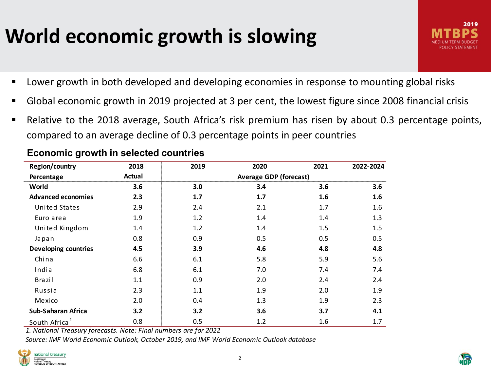### **World economic growth is slowing**



- **Lower growth in both developed and developing economies in response to mounting global risks**
- Global economic growth in 2019 projected at 3 per cent, the lowest figure since 2008 financial crisis
- Relative to the 2018 average, South Africa's risk premium has risen by about 0.3 percentage points, compared to an average decline of 0.3 percentage points in peer countries

| Region/country              | 2018   | 2019 | 2020 | 2021 | 2022-2024        |
|-----------------------------|--------|------|------|------|------------------|
| Percentage                  | Actual |      |      |      |                  |
| World                       | 3.6    | 3.0  | 3.4  | 3.6  | 3.6              |
| <b>Advanced economies</b>   | 2.3    | 1.7  | 1.7  | 1.6  | $1.6\phantom{0}$ |
| United States               | 2.9    | 2.4  | 2.1  | 1.7  | $1.6\,$          |
| Euro area                   | 1.9    | 1.2  | 1.4  | 1.4  | 1.3              |
| United Kingdom              | 1.4    | 1.2  | 1.4  | 1.5  | 1.5              |
| Japan                       | 0.8    | 0.9  | 0.5  | 0.5  | 0.5              |
| <b>Developing countries</b> | 4.5    | 3.9  | 4.6  | 4.8  | 4.8              |
| China                       | 6.6    | 6.1  | 5.8  | 5.9  | 5.6              |
| India                       | 6.8    | 6.1  | 7.0  | 7.4  | 7.4              |
| <b>Brazil</b>               | 1.1    | 0.9  | 2.0  | 2.4  | 2.4              |
| Russia                      | 2.3    | 1.1  | 1.9  | 2.0  | 1.9              |
| Mexico                      | 2.0    | 0.4  | 1.3  | 1.9  | 2.3              |
| <b>Sub-Saharan Africa</b>   | 3.2    | 3.2  | 3.6  | 3.7  | 4.1              |
| South Africa <sup>1</sup>   | 0.8    | 0.5  | 1.2  | 1.6  | 1.7              |

#### **Economic growth in selected countries**

*1. National Treasury forecasts. Note: Final numbers are for 2022*

*Source: IMF World Economic Outlook, October 2019, and IMF World Economic Outlook database*



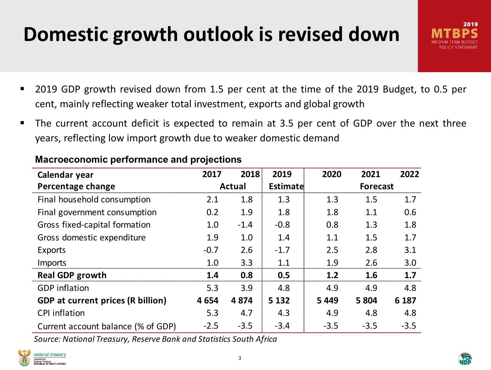### **Domestic growth outlook is revised down**

- 2019 GDP growth revised down from 1.5 per cent at the time of the 2019 Budget, to 0.5 per cent, mainly reflecting weaker total investment, exports and global growth
- The current account deficit is expected to remain at 3.5 per cent of GDP over the next three years, reflecting low import growth due to weaker domestic demand

| Calendar year                            | 2017          | 2018   | 2019     | 2020    | 2021            | 2022   |
|------------------------------------------|---------------|--------|----------|---------|-----------------|--------|
| Percentage change                        | <b>Actual</b> |        | Estimate |         | <b>Forecast</b> |        |
| Final household consumption              | 2.1           | 1.8    | 1.3      | 1.3     | 1.5             | 1.7    |
| Final government consumption             | 0.2           | 1.9    | 1.8      | 1.8     | 1.1             | 0.6    |
| Gross fixed-capital formation            | 1.0           | $-1.4$ | $-0.8$   | 0.8     | 1.3             | 1.8    |
| Gross domestic expenditure               | 1.9           | 1.0    | 1.4      | 1.1     | 1.5             | 1.7    |
| Exports                                  | $-0.7$        | 2.6    | $-1.7$   | 2.5     | 2.8             | 3.1    |
| <b>Imports</b>                           | 1.0           | 3.3    | 1.1      | 1.9     | 2.6             | 3.0    |
| <b>Real GDP growth</b>                   | 1.4           | 0.8    | 0.5      | 1.2     | 1.6             | 1.7    |
| <b>GDP</b> inflation                     | 5.3           | 3.9    | 4.8      | 4.9     | 4.9             | 4.8    |
| <b>GDP at current prices (R billion)</b> | 4654          | 4874   | 5 1 3 2  | 5 4 4 9 | 5 8 0 4         | 6 187  |
| <b>CPI</b> inflation                     | 5.3           | 4.7    | 4.3      | 4.9     | 4.8             | 4.8    |
| Current account balance (% of GDP)       | $-2.5$        | $-3.5$ | $-3.4$   | $-3.5$  | $-3.5$          | $-3.5$ |

#### **Macroeconomic performance and projections**

*Source: National Treasury, Reserve Bank and Statistics South Africa* 





2019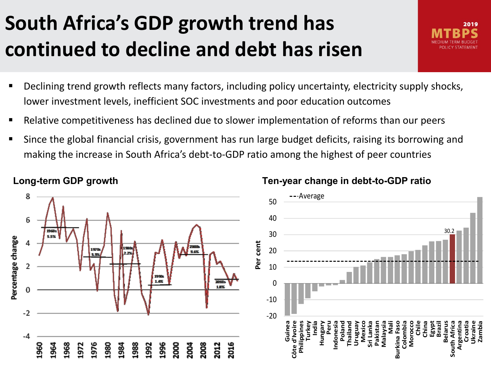### **South Africa's GDP growth trend has continued to decline and debt has risen**

- Declining trend growth reflects many factors, including policy uncertainty, electricity supply shocks, lower investment levels, inefficient SOC investments and poor education outcomes
- Relative competitiveness has declined due to slower implementation of reforms than our peers
- Since the global financial crisis, government has run large budget deficits, raising its borrowing and making the increase in South Africa's debt-to-GDP ratio among the highest of peer countries



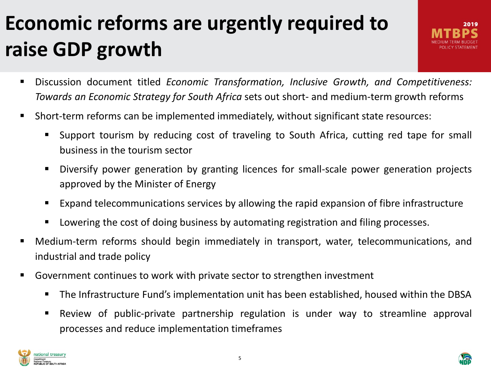## **Economic reforms are urgently required to raise GDP growth**

- Discussion document titled *Economic Transformation, Inclusive Growth, and Competitiveness: Towards an Economic Strategy for South Africa* sets out short- and medium-term growth reforms
- Short-term reforms can be implemented immediately, without significant state resources:
	- Support tourism by reducing cost of traveling to South Africa, cutting red tape for small business in the tourism sector
	- Diversify power generation by granting licences for small-scale power generation projects approved by the Minister of Energy
	- Expand telecommunications services by allowing the rapid expansion of fibre infrastructure
	- Lowering the cost of doing business by automating registration and filing processes.
- Medium-term reforms should begin immediately in transport, water, telecommunications, and industrial and trade policy
- Government continues to work with private sector to strengthen investment
	- The Infrastructure Fund's implementation unit has been established, housed within the DBSA
	- Review of public-private partnership regulation is under way to streamline approval processes and reduce implementation timeframes



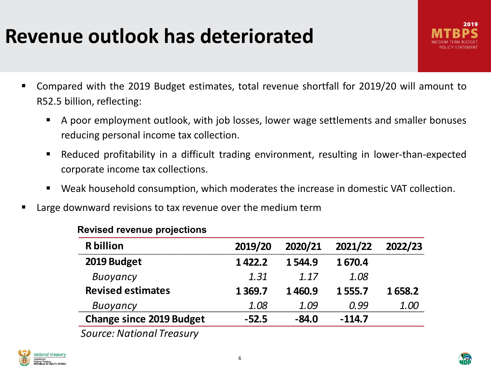#### **Revenue outlook has deteriorated**

- Compared with the 2019 Budget estimates, total revenue shortfall for 2019/20 will amount to R52.5 billion, reflecting:
	- A poor employment outlook, with job losses, lower wage settlements and smaller bonuses reducing personal income tax collection.
	- Reduced profitability in a difficult trading environment, resulting in lower-than-expected corporate income tax collections.
	- Weak household consumption, which moderates the increase in domestic VAT collection.
- **EXTE:** Large downward revisions to tax revenue over the medium term

| <b>R</b> billion                | 2019/20   | 2020/21 | 2021/22  | 2022/23 |  |
|---------------------------------|-----------|---------|----------|---------|--|
| 2019 Budget                     | 1422.2    | 1544.9  | 1670.4   |         |  |
| Buoyancy                        | 1.31      | 1.17    | 1.08     |         |  |
| <b>Revised estimates</b>        | 1 3 6 9.7 | 1460.9  | 1555.7   | 1658.2  |  |
| Buoyancy                        | 1.O8      | 1.09    | በ 99     | 1 (K)   |  |
| <b>Change since 2019 Budget</b> | $-52.5$   | $-84.0$ | $-114.7$ |         |  |

#### **Revised revenue projections**

*Source: National Treasury*



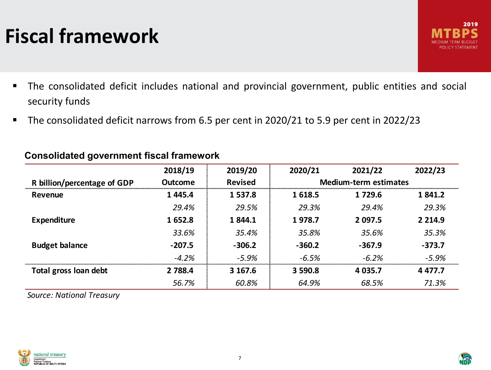### **Fiscal framework**

- The consolidated deficit includes national and provincial government, public entities and social security funds
- The consolidated deficit narrows from 6.5 per cent in 2020/21 to 5.9 per cent in 2022/23

|                             | 2018/19     | 2019/20        | 2020/21                      | 2021/22     | 2022/23     |  |
|-----------------------------|-------------|----------------|------------------------------|-------------|-------------|--|
| R billion/percentage of GDP | Outcome     | <b>Revised</b> | <b>Medium-term estimates</b> |             |             |  |
| Revenue                     | 1 4 4 5 . 4 | 1 537.8        | 1618.5<br>1 7 2 9.6          |             | 1841.2      |  |
|                             | 29.4%       | 29.5%          | 29.3%                        | 29.4%       | 29.3%       |  |
| <b>Expenditure</b>          | 1652.8      | 1844.1         | 1978.7                       | 2 097.5     | 2 2 1 4 .9  |  |
|                             | 33.6%       | 35.4%          | 35.8%                        | 35.6%       | 35.3%       |  |
| <b>Budget balance</b>       | $-207.5$    | $-306.2$       | $-360.2$<br>$-367.9$         |             | $-373.7$    |  |
|                             | $-4.2%$     | $-5.9%$        | $-6.5%$                      | $-6.2%$     | $-5.9%$     |  |
| Total gross loan debt       | 2 7 8 8.4   | 3 167.6        | 3 590.8                      | 4 0 3 5 . 7 | 4 4 7 7 . 7 |  |
|                             | 56.7%       | 60.8%          | 64.9%                        | 68.5%       | 71.3%       |  |

#### **Consolidated government fiscal framework**

*Source: National Treasury*

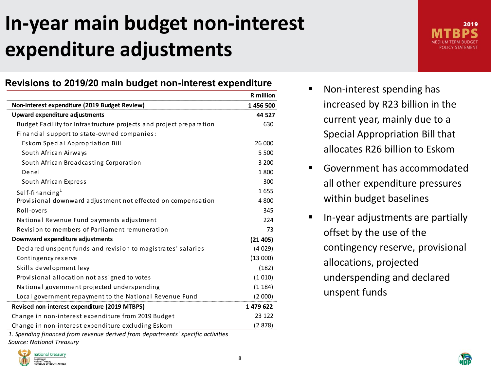### **In-year main budget non-interest expenditure adjustments**

#### **Revisions to 2019/20 main budget non-interest expenditure**

|                                                                     | <b>R</b> million |  |
|---------------------------------------------------------------------|------------------|--|
| Non-interest expenditure (2019 Budget Review)                       | 1 456 500        |  |
| Upward expenditure adjustments                                      | 44 527           |  |
| Budget Facility for Infrastructure projects and project preparation | 630              |  |
| Financial support to state-owned companies:                         |                  |  |
| Eskom Special Appropriation Bill                                    | 26 000           |  |
| South African Airways                                               | 5 500            |  |
| South African Broadcasting Corporation                              | 3 200            |  |
| Denel                                                               | 1800             |  |
| South African Express                                               | 300              |  |
| Self-financing $1$                                                  | 1655             |  |
| Provisional downward adjustment not effected on compensation        | 4 800            |  |
| Roll-overs                                                          | 345              |  |
| National Revenue Fund payments adjustment                           | 224              |  |
| Revision to members of Parliament remuneration                      | 73               |  |
| Downward expenditure adjustments                                    | (21405)          |  |
| Declared unspent funds and revision to magistrates' salaries        | (4029)           |  |
| Contingency reserve                                                 | (13000)          |  |
| Skills development levy                                             | (182)            |  |
| Provisional allocation not assigned to votes                        | (1010)           |  |
| National government projected underspending                         | (1184)           |  |
| Local government repayment to the National Revenue Fund             | (2 000)          |  |
| Revised non-interest expenditure (2019 MTBPS)                       |                  |  |
| Change in non-interest expenditure from 2019 Budget                 | 23 122           |  |
| Change in non-interest expenditure excluding Eskom                  | (2878)           |  |

*1. Spending financed from revenue derived from departments' specific activities Source: National Treasury*





- Non-interest spending has increased by R23 billion in the current year, mainly due to a Special Appropriation Bill that allocates R26 billion to Eskom
- Government has accommodated all other expenditure pressures within budget baselines
- In-year adjustments are partially offset by the use of the contingency reserve, provisional allocations, projected underspending and declared unspent funds

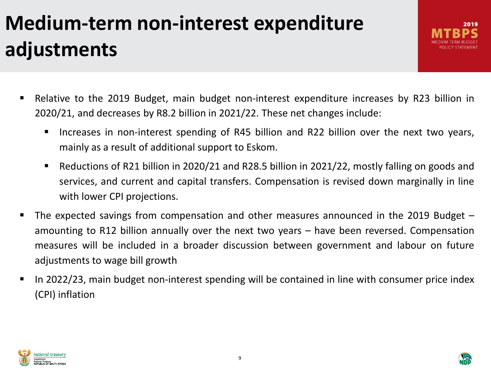# **Medium-term non-interest expenditure adjustments**

2019

- Relative to the 2019 Budget, main budget non-interest expenditure increases by R23 billion in 2020/21, and decreases by R8.2 billion in 2021/22. These net changes include:
	- **Increases in non-interest spending of R45 billion and R22 billion over the next two vears,** mainly as a result of additional support to Eskom.
	- Reductions of R21 billion in 2020/21 and R28.5 billion in 2021/22, mostly falling on goods and services, and current and capital transfers. Compensation is revised down marginally in line with lower CPI projections.
- The expected savings from compensation and other measures announced in the 2019 Budget amounting to R12 billion annually over the next two years – have been reversed. Compensation measures will be included in a broader discussion between government and labour on future adjustments to wage bill growth
- In 2022/23, main budget non-interest spending will be contained in line with consumer price index (CPI) inflation



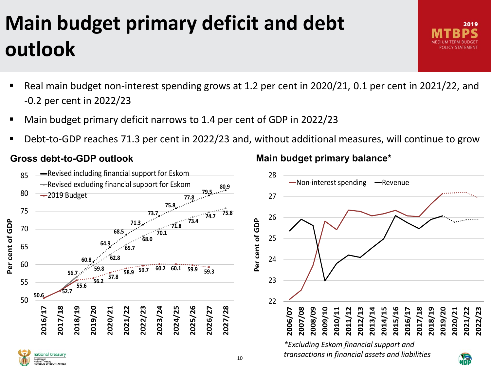# **Main budget primary deficit and debt outlook**

- Real main budget non-interest spending grows at 1.2 per cent in 2020/21, 0.1 per cent in 2021/22, and -0.2 per cent in 2022/23
- Main budget primary deficit narrows to 1.4 per cent of GDP in 2022/23
- Debt-to-GDP reaches 71.3 per cent in 2022/23 and, without additional measures, will continue to grow

#### **Gross debt-to-GDP outlook**

#### 10 22 23 24 25 26 27 28  $\begin{picture}(180,100) \put(10,10){\line(1,0){15}} \put(10,10){\line(1,0){15}} \put(10,10){\line(1,0){15}} \put(10,10){\line(1,0){15}} \put(10,10){\line(1,0){15}} \put(10,10){\line(1,0){15}} \put(10,10){\line(1,0){15}} \put(10,10){\line(1,0){15}} \put(10,10){\line(1,0){15}} \put(10,10){\line(1,0){15}} \put(10,10){\line(1,0){1$  $\longrightarrow$ Non-interest spending  $\longrightarrow$ Revenue *\*Excluding Eskom financial support and transactions in financial assets and liabilities* **56.7 60.8 64.9 68.5 71.3 73.7 75.8 77.8 79.5 80.9 59.8 62.8 65.7 68.0 70.1 71.8 73.4 74.7 75.8 50.6 52.7 55.6 56.2 57.8 58.9 59.7 60.2 60.1 59.9 59.3** 50 55 60 65 70 75 80 85 20<br>
2019<br>
2019<br>
2020<br>
2020<br>
2020<br>
2020<br>
2020<br>
2020<br>
2020<br>
2020<br>
2020<br>
2020<br>
2020<br>
2020<br>
2020<br>
2020<br>
2020<br>
2020<br>
2020<br>
2020<br>
2020<br>
2020<br>
2020<br>
2020<br>
2020<br>
2020<br>
2020<br>
2020<br>
2020<br>
2020<br>
2020<br>
2020<br>
2020<br>
2020<br>
2020<br>
2020<br>
20  $\rightarrow$ Revised including financial support for Eskom Revised excluding financial support for Eskom  $\rightarrow$  2019 Budget

#### **Main budget primary balance\***

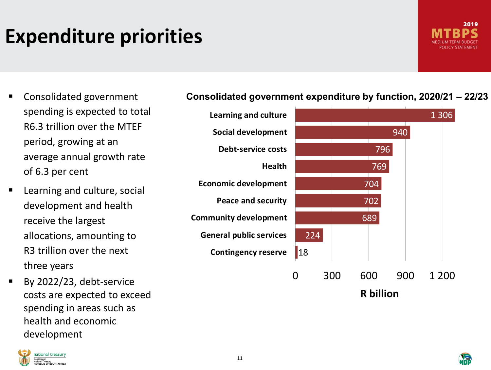### **Expenditure priorities**



- Consolidated government spending is expected to total R6.3 trillion over the MTEF period, growing at an average annual growth rate of 6.3 per cent
- **E** Learning and culture, social development and health receive the largest allocations, amounting to R3 trillion over the next three years
- By 2022/23, debt-service costs are expected to exceed spending in areas such as health and economic development



#### **Consolidated government expenditure by function, 2020/21 – 22/23**



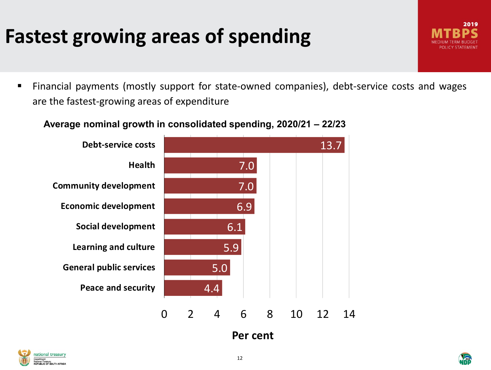### **Fastest growing areas of spending**

 Financial payments (mostly support for state-owned companies), debt-service costs and wages are the fastest-growing areas of expenditure

#### **Average nominal growth in consolidated spending, 2020/21 – 22/23**







2019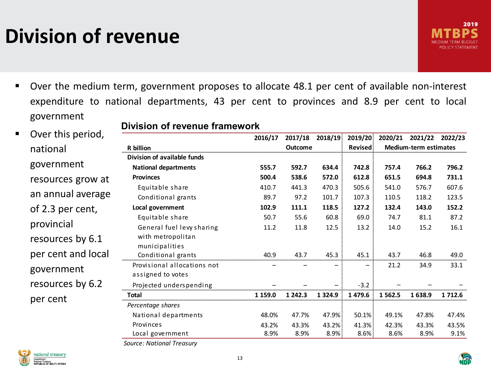### **Division of revenue**

- Over the medium term, government proposes to allocate 48.1 per cent of available non-interest expenditure to national departments, 43 per cent to provinces and 8.9 per cent to local government
- **•** Over this period national government resources grow an annual avera of 2.3 per cent, provincial resources by 6.1 per cent and loc government resources by 6.2 per cent

**Division of revenue framework**

|                             | 2016/17        | 2017/18 | 2018/19     | 2019/20 | 2020/21                      | 2021/22 | 2022/23   |
|-----------------------------|----------------|---------|-------------|---------|------------------------------|---------|-----------|
| R billion                   | <b>Outcome</b> |         |             | Revised | <b>Medium-term estimates</b> |         |           |
| Division of available funds |                |         |             |         |                              |         |           |
| <b>National departments</b> | 555.7          | 592.7   | 634.4       | 742.8   | 757.4                        | 766.2   | 796.2     |
| <b>Provinces</b>            | 500.4          | 538.6   | 572.0       | 612.8   | 651.5                        | 694.8   | 731.1     |
| Equitable share             | 410.7          | 441.3   | 470.3       | 505.6   | 541.0                        | 576.7   | 607.6     |
| Conditional grants          | 89.7           | 97.2    | 101.7       | 107.3   | 110.5                        | 118.2   | 123.5     |
| Local government            | 102.9          | 111.1   | 118.5       | 127.2   | 132.4                        | 143.0   | 152.2     |
| Equitable share             | 50.7           | 55.6    | 60.8        | 69.0    | 74.7                         | 81.1    | 87.2      |
| General fuel levy sharing   | 11.2           | 11.8    | 12.5        | 13.2    | 14.0                         | 15.2    | 16.1      |
| with metropolitan           |                |         |             |         |                              |         |           |
| municipalities              |                |         |             |         |                              |         |           |
| Conditional grants          | 40.9           | 43.7    | 45.3        | 45.1    | 43.7                         | 46.8    | 49.0      |
| Provisional allocations not |                |         |             |         | 21.2                         | 34.9    | 33.1      |
| assigned to votes           |                |         |             |         |                              |         |           |
| Projected underspending     |                |         |             | $-3.2$  |                              |         |           |
| Total                       | 1 159.0        | 1 242.3 | 1 3 2 4 . 9 | 1 479.6 | 1 5 6 2.5                    | 1 638.9 | 1 7 1 2.6 |
| Percentage shares           |                |         |             |         |                              |         |           |
| National departments        | 48.0%          | 47.7%   | 47.9%       | 50.1%   | 49.1%                        | 47.8%   | 47.4%     |
| Provinces                   | 43.2%          | 43.3%   | 43.2%       | 41.3%   | 42.3%                        | 43.3%   | 43.5%     |
| Local government            | 8.9%           | 8.9%    | 8.9%        | 8.6%    | 8.6%                         | 8.9%    | 9.1%      |
|                             |                |         |             |         |                              |         |           |

*Source: National Treasury* 

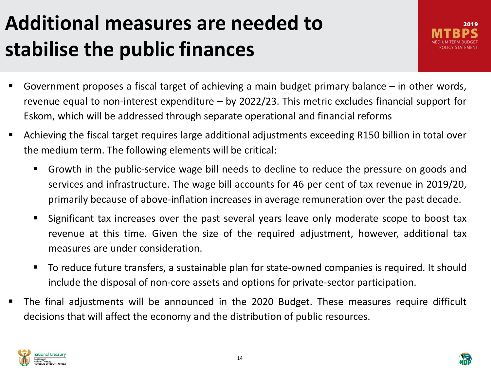### **Additional measures are needed to stabilise the public finances**

- Government proposes a fiscal target of achieving a main budget primary balance in other words, revenue equal to non-interest expenditure – by 2022/23. This metric excludes financial support for Eskom, which will be addressed through separate operational and financial reforms
- Achieving the fiscal target requires large additional adjustments exceeding R150 billion in total over the medium term. The following elements will be critical:
	- Growth in the public-service wage bill needs to decline to reduce the pressure on goods and services and infrastructure. The wage bill accounts for 46 per cent of tax revenue in 2019/20, primarily because of above-inflation increases in average remuneration over the past decade.
	- Significant tax increases over the past several years leave only moderate scope to boost tax revenue at this time. Given the size of the required adjustment, however, additional tax measures are under consideration.
	- To reduce future transfers, a sustainable plan for state-owned companies is required. It should include the disposal of non-core assets and options for private-sector participation.
- The final adjustments will be announced in the 2020 Budget. These measures require difficult decisions that will affect the economy and the distribution of public resources.



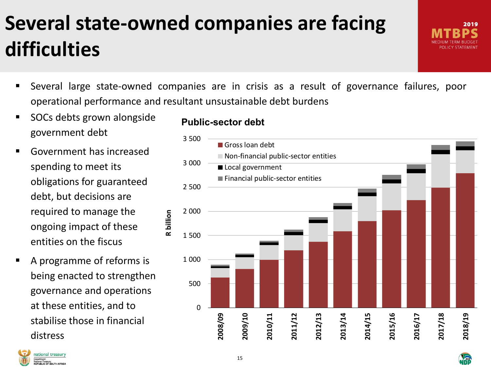## **Several state-owned companies are facing difficulties**

- Several large state-owned companies are in crisis as a result of governance failures, poor operational performance and resultant unsustainable debt burdens
- SOCs debts grown alongside government debt
- **Government has increased** spending to meet its obligations for guaranteed debt, but decisions are required to manage the ongoing impact of these entities on the fiscus
- A programme of reforms is being enacted to strengthen governance and operations at these entities, and to stabilise those in financial distress

#### **Public-sector debt**



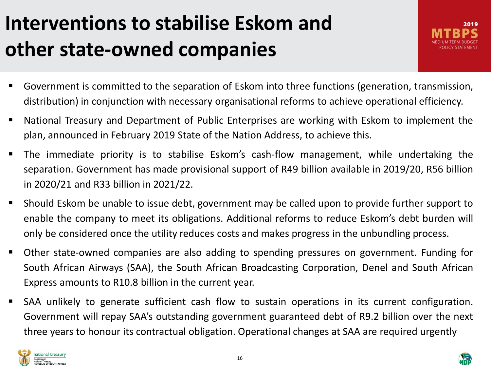### **Interventions to stabilise Eskom and other state-owned companies**

- Government is committed to the separation of Eskom into three functions (generation, transmission, distribution) in conjunction with necessary organisational reforms to achieve operational efficiency.
- National Treasury and Department of Public Enterprises are working with Eskom to implement the plan, announced in February 2019 State of the Nation Address, to achieve this.
- The immediate priority is to stabilise Eskom's cash-flow management, while undertaking the separation. Government has made provisional support of R49 billion available in 2019/20, R56 billion in 2020/21 and R33 billion in 2021/22.
- Should Eskom be unable to issue debt, government may be called upon to provide further support to enable the company to meet its obligations. Additional reforms to reduce Eskom's debt burden will only be considered once the utility reduces costs and makes progress in the unbundling process.
- Other state-owned companies are also adding to spending pressures on government. Funding for South African Airways (SAA), the South African Broadcasting Corporation, Denel and South African Express amounts to R10.8 billion in the current year.
- SAA unlikely to generate sufficient cash flow to sustain operations in its current configuration. Government will repay SAA's outstanding government guaranteed debt of R9.2 billion over the next three years to honour its contractual obligation. Operational changes at SAA are required urgently

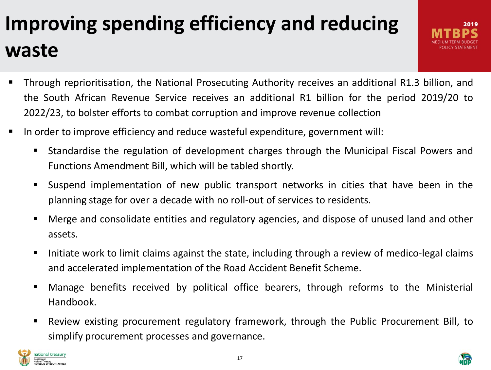# **Improving spending efficiency and reducing waste**

- Through reprioritisation, the National Prosecuting Authority receives an additional R1.3 billion, and the South African Revenue Service receives an additional R1 billion for the period 2019/20 to 2022/23, to bolster efforts to combat corruption and improve revenue collection
- In order to improve efficiency and reduce wasteful expenditure, government will:
	- Standardise the regulation of development charges through the Municipal Fiscal Powers and Functions Amendment Bill, which will be tabled shortly.
	- Suspend implementation of new public transport networks in cities that have been in the planning stage for over a decade with no roll-out of services to residents.
	- Merge and consolidate entities and regulatory agencies, and dispose of unused land and other assets.
	- I Initiate work to limit claims against the state, including through a review of medico-legal claims and accelerated implementation of the Road Accident Benefit Scheme.
	- Manage benefits received by political office bearers, through reforms to the Ministerial Handbook.
	- Review existing procurement regulatory framework, through the Public Procurement Bill, to simplify procurement processes and governance.